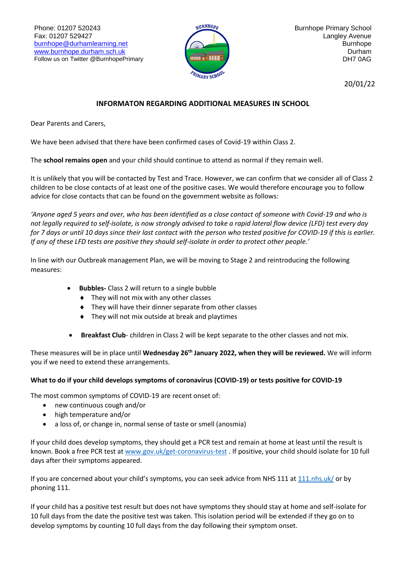Phone: 01207 520243 Fax: 01207 529427 [burnhope@durhamlearning.net](mailto:burnhope@durhamlearning.net) [www.burnhope.durham.sch.uk](http://www.burnhope.durham.sch.uk/) Follow us on Twitter @BurnhopePrimary



20/01/22

## **INFORMATON REGARDING ADDITIONAL MEASURES IN SCHOOL**

Dear Parents and Carers,

We have been advised that there have been confirmed cases of Covid-19 within Class 2.

The **school remains open** and your child should continue to attend as normal if they remain well.

It is unlikely that you will be contacted by Test and Trace. However, we can confirm that we consider all of Class 2 children to be close contacts of at least one of the positive cases. We would therefore encourage you to follow advice for close contacts that can be found on the government website as follows:

*'Anyone aged 5 years and over, who has been identified as a close contact of someone with Covid-19 and who is not legally required to self-isolate, is now strongly advised to take a rapid lateral flow device (LFD) test every day for 7 days or until 10 days since their last contact with the person who tested positive for COVID-19 if this is earlier. If any of these LFD tests are positive they should self-isolate in order to protect other people.'*

In line with our Outbreak management Plan, we will be moving to Stage 2 and reintroducing the following measures:

- **Bubbles-** Class 2 will return to a single bubble
	- ◆ They will not mix with any other classes
	- They will have their dinner separate from other classes
	- ◆ They will not mix outside at break and playtimes
- **Breakfast Club** children in Class 2 will be kept separate to the other classes and not mix.

These measures will be in place until **Wednesday 26 th January 2022, when they will be reviewed.** We will inform you if we need to extend these arrangements.

## **What to do if your child develops symptoms of coronavirus (COVID-19) or tests positive for COVID-19**

The most common symptoms of COVID-19 are recent onset of:

- new continuous cough and/or
- high temperature and/or
- a loss of, or change in, normal sense of taste or smell (anosmia)

If your child does develop symptoms, they should get a PCR test and remain at home at least until the result is known. Book a free PCR test at [www.gov.uk/get-coronavirus-test](http://www.gov.uk/get-coronavirus-test). If positive, your child should isolate for 10 full days after their symptoms appeared.

If you are concerned about your child's symptoms, you can seek advice from NHS 111 at [111.nhs.uk/](https://111.nhs.uk/) or by phoning 111.

If your child has a positive test result but does not have symptoms they should stay at home and self-isolate for 10 full days from the date the positive test was taken. This isolation period will be extended if they go on to develop symptoms by counting 10 full days from the day following their symptom onset.